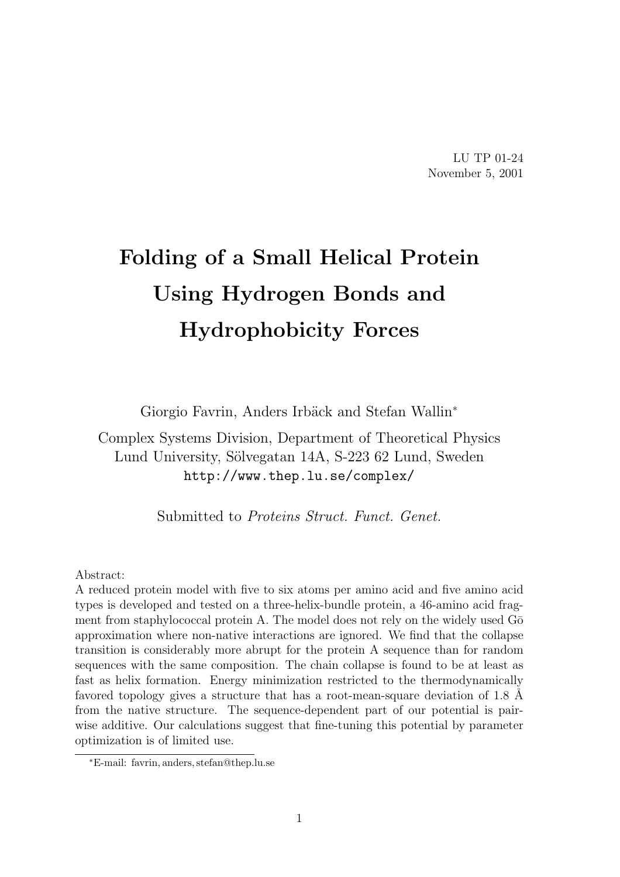LU TP 01-24 November 5, 2001

# Folding of a Small Helical Protein Using Hydrogen Bonds and Hydrophobicity Forces

Giorgio Favrin, Anders Irbäck and Stefan Wallin<sup>\*</sup>

Complex Systems Division, Department of Theoretical Physics Lund University, Sölvegatan 14A, S-223 62 Lund, Sweden http://www.thep.lu.se/complex/

Submitted to Proteins Struct. Funct. Genet.

#### Abstract:

A reduced protein model with five to six atoms per amino acid and five amino acid types is developed and tested on a three-helix-bundle protein, a 46-amino acid fragment from staphylococcal protein A. The model does not rely on the widely used  $G\bar{o}$ approximation where non-native interactions are ignored. We find that the collapse transition is considerably more abrupt for the protein A sequence than for random sequences with the same composition. The chain collapse is found to be at least as fast as helix formation. Energy minimization restricted to the thermodynamically favored topology gives a structure that has a root-mean-square deviation of 1.8 Å from the native structure. The sequence-dependent part of our potential is pairwise additive. Our calculations suggest that fine-tuning this potential by parameter optimization is of limited use.

<sup>∗</sup>E-mail: favrin, anders, stefan@thep.lu.se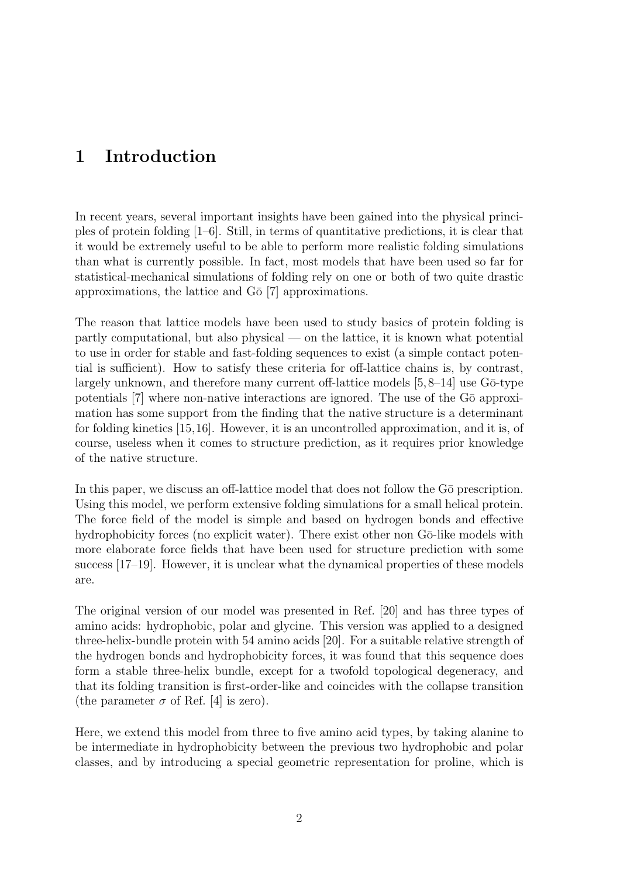# 1 Introduction

In recent years, several important insights have been gained into the physical principles of protein folding  $[1-6]$ . Still, in terms of quantitative predictions, it is clear that it would be extremely useful to be able to perform more realistic folding simulations than what is currently possible. In fact, most models that have been used so far for statistical-mechanical simulations of folding rely on one or both of two quite drastic approximations, the lattice and  $G\bar{o}$  [7] approximations.

The reason that lattice models have been used to study basics of protein folding is partly computational, but also physical — on the lattice, it is known what potential to use in order for stable and fast-folding sequences to exist (a simple contact potential is sufficient). How to satisfy these criteria for off-lattice chains is, by contrast, largely unknown, and therefore many current off-lattice models  $[5,8-14]$  use  $G\bar{o}$ -type potentials  $[7]$  where non-native interactions are ignored. The use of the  $G\bar{o}$  approximation has some support from the finding that the native structure is a determinant for folding kinetics [15,16]. However, it is an uncontrolled approximation, and it is, of course, useless when it comes to structure prediction, as it requires prior knowledge of the native structure.

In this paper, we discuss an off-lattice model that does not follow the G $\bar{o}$  prescription. Using this model, we perform extensive folding simulations for a small helical protein. The force field of the model is simple and based on hydrogen bonds and effective hydrophobicity forces (no explicit water). There exist other non Gō-like models with more elaborate force fields that have been used for structure prediction with some success [17–19]. However, it is unclear what the dynamical properties of these models are.

The original version of our model was presented in Ref. [20] and has three types of amino acids: hydrophobic, polar and glycine. This version was applied to a designed three-helix-bundle protein with 54 amino acids [20]. For a suitable relative strength of the hydrogen bonds and hydrophobicity forces, it was found that this sequence does form a stable three-helix bundle, except for a twofold topological degeneracy, and that its folding transition is first-order-like and coincides with the collapse transition (the parameter  $\sigma$  of Ref. [4] is zero).

Here, we extend this model from three to five amino acid types, by taking alanine to be intermediate in hydrophobicity between the previous two hydrophobic and polar classes, and by introducing a special geometric representation for proline, which is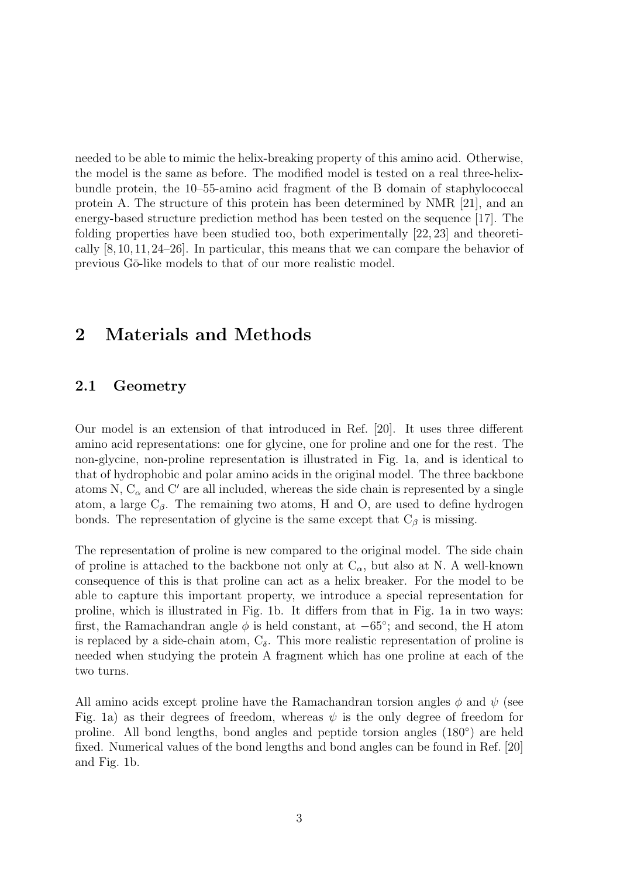needed to be able to mimic the helix-breaking property of this amino acid. Otherwise, the model is the same as before. The modified model is tested on a real three-helixbundle protein, the 10–55-amino acid fragment of the B domain of staphylococcal protein A. The structure of this protein has been determined by NMR [21], and an energy-based structure prediction method has been tested on the sequence [17]. The folding properties have been studied too, both experimentally [22, 23] and theoretically [8,10,11,24–26]. In particular, this means that we can compare the behavior of previous Gō-like models to that of our more realistic model.

# 2 Materials and Methods

## 2.1 Geometry

Our model is an extension of that introduced in Ref. [20]. It uses three different amino acid representations: one for glycine, one for proline and one for the rest. The non-glycine, non-proline representation is illustrated in Fig. 1a, and is identical to that of hydrophobic and polar amino acids in the original model. The three backbone atoms N,  $C_{\alpha}$  and C' are all included, whereas the side chain is represented by a single atom, a large  $C_\beta$ . The remaining two atoms, H and O, are used to define hydrogen bonds. The representation of glycine is the same except that  $C_\beta$  is missing.

The representation of proline is new compared to the original model. The side chain of proline is attached to the backbone not only at  $C_{\alpha}$ , but also at N. A well-known consequence of this is that proline can act as a helix breaker. For the model to be able to capture this important property, we introduce a special representation for proline, which is illustrated in Fig. 1b. It differs from that in Fig. 1a in two ways: first, the Ramachandran angle  $\phi$  is held constant, at  $-65^{\circ}$ ; and second, the H atom is replaced by a side-chain atom,  $C_{\delta}$ . This more realistic representation of proline is needed when studying the protein A fragment which has one proline at each of the two turns.

All amino acids except proline have the Ramachandran torsion angles  $\phi$  and  $\psi$  (see Fig. 1a) as their degrees of freedom, whereas  $\psi$  is the only degree of freedom for proline. All bond lengths, bond angles and peptide torsion angles (180°) are held fixed. Numerical values of the bond lengths and bond angles can be found in Ref. [20] and Fig. 1b.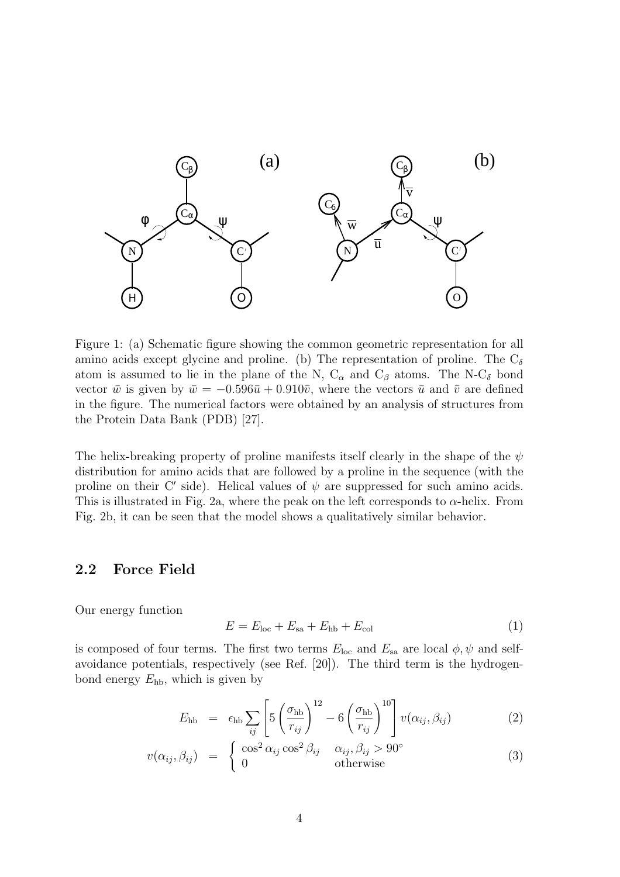

Figure 1: (a) Schematic figure showing the common geometric representation for all amino acids except glycine and proline. (b) The representation of proline. The  $C_{\delta}$ atom is assumed to lie in the plane of the N,  $C_{\alpha}$  and  $C_{\beta}$  atoms. The N- $C_{\delta}$  bond vector  $\bar{w}$  is given by  $\bar{w} = -0.596\bar{u} + 0.910\bar{v}$ , where the vectors  $\bar{u}$  and  $\bar{v}$  are defined in the figure. The numerical factors were obtained by an analysis of structures from the Protein Data Bank (PDB) [27].

The helix-breaking property of proline manifests itself clearly in the shape of the  $\psi$ distribution for amino acids that are followed by a proline in the sequence (with the proline on their C' side). Helical values of  $\psi$  are suppressed for such amino acids. This is illustrated in Fig. 2a, where the peak on the left corresponds to  $\alpha$ -helix. From Fig. 2b, it can be seen that the model shows a qualitatively similar behavior.

## 2.2 Force Field

Our energy function

$$
E = Eloc + Esa + Ehb + Ecol
$$
 (1)

is composed of four terms. The first two terms  $E_{\text{loc}}$  and  $E_{\text{sa}}$  are local  $\phi, \psi$  and selfavoidance potentials, respectively (see Ref. [20]). The third term is the hydrogenbond energy  $E_{\text{hb}}$ , which is given by

$$
E_{\rm hb} = \epsilon_{\rm hb} \sum_{ij} \left[ 5 \left( \frac{\sigma_{\rm hb}}{r_{ij}} \right)^{12} - 6 \left( \frac{\sigma_{\rm hb}}{r_{ij}} \right)^{10} \right] v(\alpha_{ij}, \beta_{ij}) \tag{2}
$$

$$
v(\alpha_{ij}, \beta_{ij}) = \begin{cases} \cos^2 \alpha_{ij} \cos^2 \beta_{ij} & \alpha_{ij}, \beta_{ij} > 90^\circ \\ 0 & \text{otherwise} \end{cases}
$$
 (3)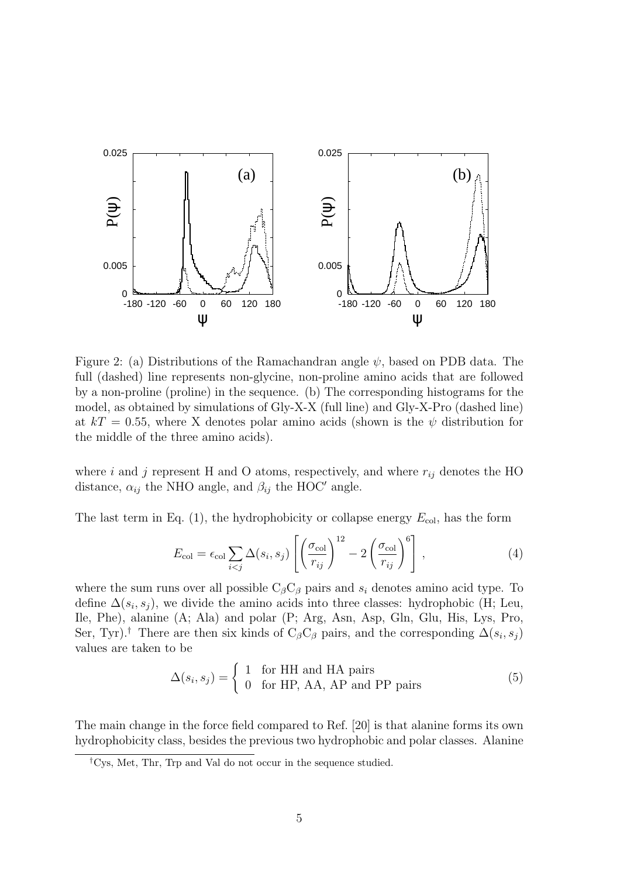

Figure 2: (a) Distributions of the Ramachandran angle  $\psi$ , based on PDB data. The full (dashed) line represents non-glycine, non-proline amino acids that are followed by a non-proline (proline) in the sequence. (b) The corresponding histograms for the model, as obtained by simulations of Gly-X-X (full line) and Gly-X-Pro (dashed line) at  $kT = 0.55$ , where X denotes polar amino acids (shown is the  $\psi$  distribution for the middle of the three amino acids).

where  $i$  and  $j$  represent H and O atoms, respectively, and where  $r_{ij}$  denotes the HO distance,  $\alpha_{ij}$  the NHO angle, and  $\beta_{ij}$  the HOC' angle.

The last term in Eq. (1), the hydrophobicity or collapse energy  $E_{\text{col}}$ , has the form

$$
E_{\text{col}} = \epsilon_{\text{col}} \sum_{i < j} \Delta(s_i, s_j) \left[ \left( \frac{\sigma_{\text{col}}}{r_{ij}} \right)^{12} - 2 \left( \frac{\sigma_{\text{col}}}{r_{ij}} \right)^{6} \right],\tag{4}
$$

where the sum runs over all possible  $C_{\beta}C_{\beta}$  pairs and  $s_i$  denotes amino acid type. To define  $\Delta(s_i, s_j)$ , we divide the amino acids into three classes: hydrophobic (H; Leu, Ile, Phe), alanine (A; Ala) and polar (P; Arg, Asn, Asp, Gln, Glu, His, Lys, Pro, Ser, Tyr).<sup>†</sup> There are then six kinds of C<sub>β</sub>C<sub>β</sub> pairs, and the corresponding  $\Delta(s_i, s_j)$ values are taken to be

$$
\Delta(s_i, s_j) = \begin{cases} 1 & \text{for HH and HA pairs} \\ 0 & \text{for HP, AA, AP and PP pairs} \end{cases}
$$
 (5)

The main change in the force field compared to Ref. [20] is that alanine forms its own hydrophobicity class, besides the previous two hydrophobic and polar classes. Alanine

<sup>†</sup>Cys, Met, Thr, Trp and Val do not occur in the sequence studied.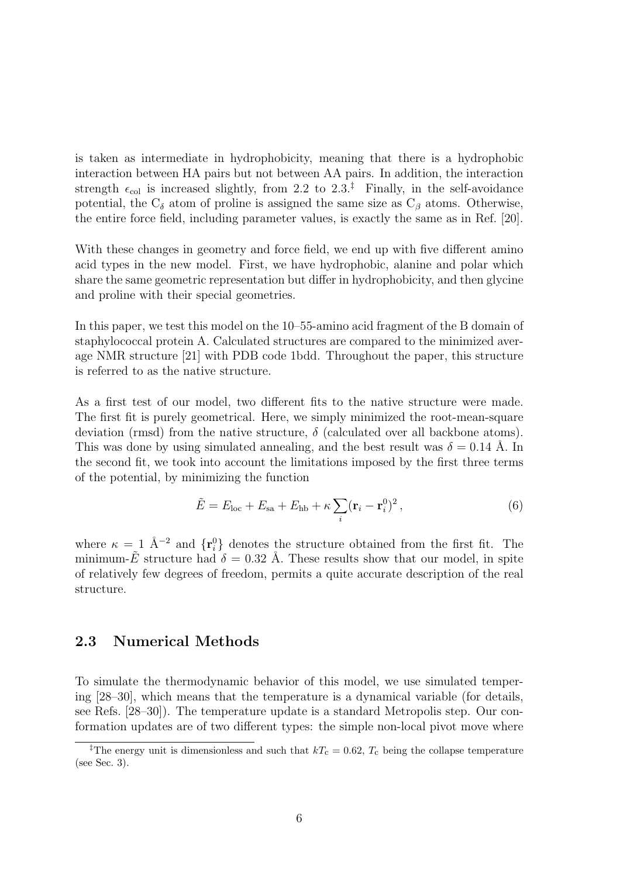is taken as intermediate in hydrophobicity, meaning that there is a hydrophobic interaction between HA pairs but not between AA pairs. In addition, the interaction strength  $\epsilon_{\text{col}}$  is increased slightly, from 2.2 to 2.3.<sup>‡</sup> Finally, in the self-avoidance potential, the  $C_{\delta}$  atom of proline is assigned the same size as  $C_{\beta}$  atoms. Otherwise, the entire force field, including parameter values, is exactly the same as in Ref. [20].

With these changes in geometry and force field, we end up with five different amino acid types in the new model. First, we have hydrophobic, alanine and polar which share the same geometric representation but differ in hydrophobicity, and then glycine and proline with their special geometries.

In this paper, we test this model on the 10–55-amino acid fragment of the B domain of staphylococcal protein A. Calculated structures are compared to the minimized average NMR structure [21] with PDB code 1bdd. Throughout the paper, this structure is referred to as the native structure.

As a first test of our model, two different fits to the native structure were made. The first fit is purely geometrical. Here, we simply minimized the root-mean-square deviation (rmsd) from the native structure,  $\delta$  (calculated over all backbone atoms). This was done by using simulated annealing, and the best result was  $\delta = 0.14$  Å. In the second fit, we took into account the limitations imposed by the first three terms of the potential, by minimizing the function

$$
\tilde{E} = E_{\text{loc}} + E_{\text{sa}} + E_{\text{hb}} + \kappa \sum_{i} (\mathbf{r}_i - \mathbf{r}_i^0)^2, \qquad (6)
$$

where  $\kappa = 1$  Å<sup>-2</sup> and  $\{r_i^0\}$  denotes the structure obtained from the first fit. The minimum-E structure had  $\delta = 0.32$  Å. These results show that our model, in spite of relatively few degrees of freedom, permits a quite accurate description of the real structure.

## 2.3 Numerical Methods

To simulate the thermodynamic behavior of this model, we use simulated tempering [28–30], which means that the temperature is a dynamical variable (for details, see Refs. [28–30]). The temperature update is a standard Metropolis step. Our conformation updates are of two different types: the simple non-local pivot move where

<sup>&</sup>lt;sup>‡</sup>The energy unit is dimensionless and such that  $kT_c = 0.62$ ,  $T_c$  being the collapse temperature (see Sec. 3).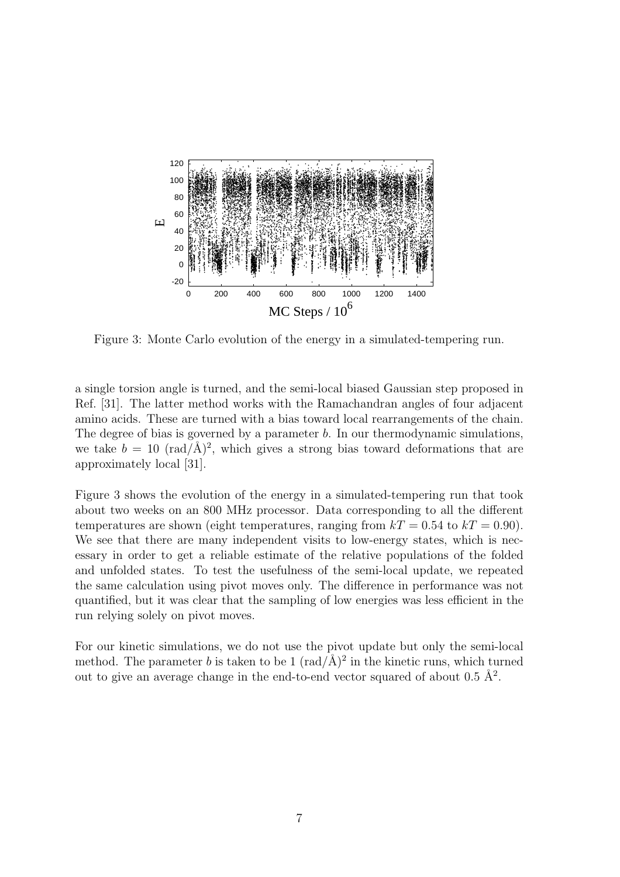

Figure 3: Monte Carlo evolution of the energy in a simulated-tempering run.

a single torsion angle is turned, and the semi-local biased Gaussian step proposed in Ref. [31]. The latter method works with the Ramachandran angles of four adjacent amino acids. These are turned with a bias toward local rearrangements of the chain. The degree of bias is governed by a parameter b. In our thermodynamic simulations, we take  $b = 10 \text{ (rad/A)}^2$ , which gives a strong bias toward deformations that are approximately local [31].

Figure 3 shows the evolution of the energy in a simulated-tempering run that took about two weeks on an 800 MHz processor. Data corresponding to all the different temperatures are shown (eight temperatures, ranging from  $kT = 0.54$  to  $kT = 0.90$ ). We see that there are many independent visits to low-energy states, which is necessary in order to get a reliable estimate of the relative populations of the folded and unfolded states. To test the usefulness of the semi-local update, we repeated the same calculation using pivot moves only. The difference in performance was not quantified, but it was clear that the sampling of low energies was less efficient in the run relying solely on pivot moves.

For our kinetic simulations, we do not use the pivot update but only the semi-local method. The parameter b is taken to be 1  $(\text{rad}/\text{\AA})^2$  in the kinetic runs, which turned out to give an average change in the end-to-end vector squared of about  $0.5 \text{ Å}^2$ .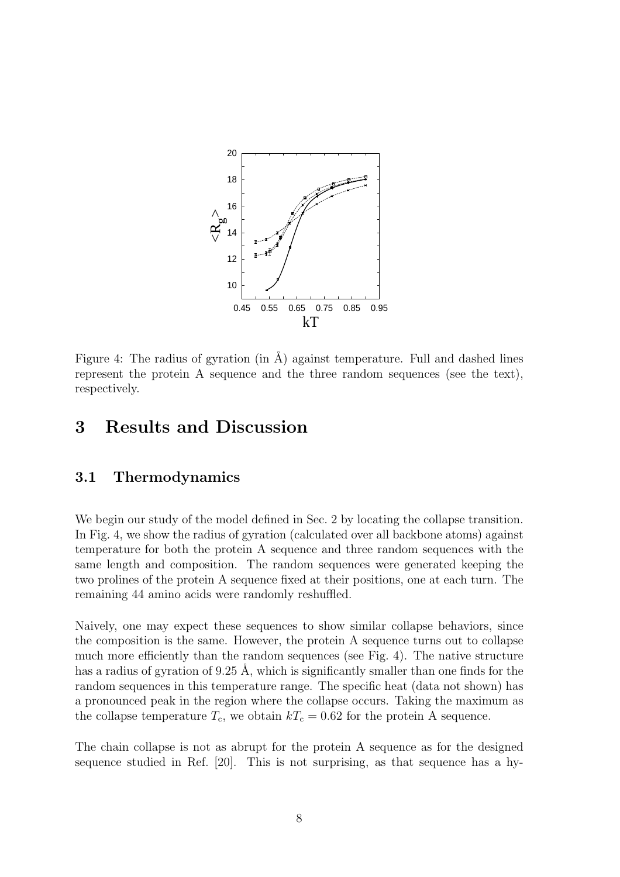

Figure 4: The radius of gyration (in  $\AA$ ) against temperature. Full and dashed lines represent the protein A sequence and the three random sequences (see the text), respectively.

# 3 Results and Discussion

#### 3.1 Thermodynamics

We begin our study of the model defined in Sec. 2 by locating the collapse transition. In Fig. 4, we show the radius of gyration (calculated over all backbone atoms) against temperature for both the protein A sequence and three random sequences with the same length and composition. The random sequences were generated keeping the two prolines of the protein A sequence fixed at their positions, one at each turn. The remaining 44 amino acids were randomly reshuffled.

Naively, one may expect these sequences to show similar collapse behaviors, since the composition is the same. However, the protein A sequence turns out to collapse much more efficiently than the random sequences (see Fig. 4). The native structure has a radius of gyration of 9.25 Å, which is significantly smaller than one finds for the random sequences in this temperature range. The specific heat (data not shown) has a pronounced peak in the region where the collapse occurs. Taking the maximum as the collapse temperature  $T_c$ , we obtain  $kT_c = 0.62$  for the protein A sequence.

The chain collapse is not as abrupt for the protein A sequence as for the designed sequence studied in Ref. [20]. This is not surprising, as that sequence has a hy-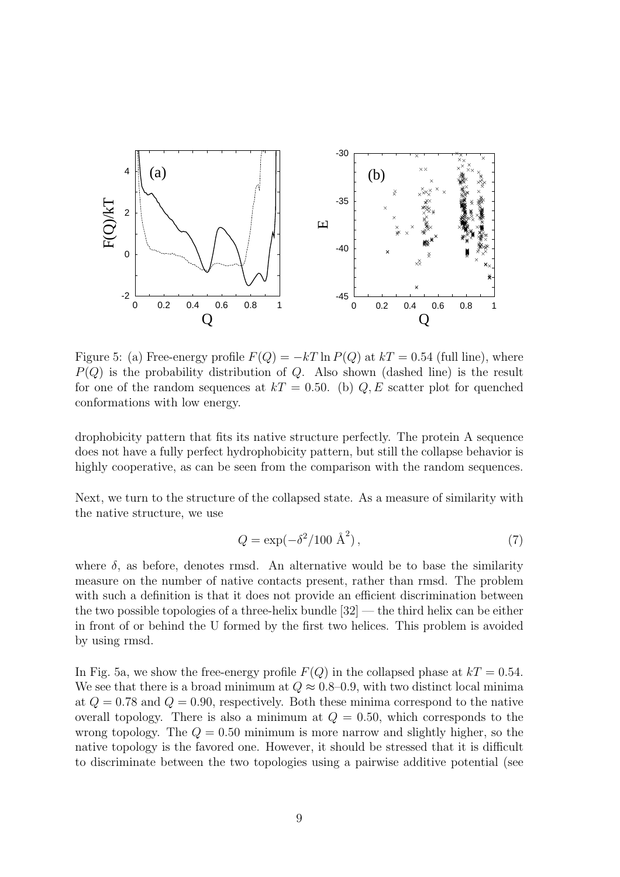

Figure 5: (a) Free-energy profile  $F(Q) = -kT \ln P(Q)$  at  $kT = 0.54$  (full line), where  $P(Q)$  is the probability distribution of Q. Also shown (dashed line) is the result for one of the random sequences at  $kT = 0.50$ . (b)  $Q, E$  scatter plot for quenched conformations with low energy.

drophobicity pattern that fits its native structure perfectly. The protein A sequence does not have a fully perfect hydrophobicity pattern, but still the collapse behavior is highly cooperative, as can be seen from the comparison with the random sequences.

Next, we turn to the structure of the collapsed state. As a measure of similarity with the native structure, we use

$$
Q = \exp(-\delta^2/100 \text{ Å}^2),\tag{7}
$$

where  $\delta$ , as before, denotes rmsd. An alternative would be to base the similarity measure on the number of native contacts present, rather than rmsd. The problem with such a definition is that it does not provide an efficient discrimination between the two possible topologies of a three-helix bundle [32] — the third helix can be either in front of or behind the U formed by the first two helices. This problem is avoided by using rmsd.

In Fig. 5a, we show the free-energy profile  $F(Q)$  in the collapsed phase at  $kT = 0.54$ . We see that there is a broad minimum at  $Q \approx 0.8{\text -}0.9$ , with two distinct local minima at  $Q = 0.78$  and  $Q = 0.90$ , respectively. Both these minima correspond to the native overall topology. There is also a minimum at  $Q = 0.50$ , which corresponds to the wrong topology. The  $Q = 0.50$  minimum is more narrow and slightly higher, so the native topology is the favored one. However, it should be stressed that it is difficult to discriminate between the two topologies using a pairwise additive potential (see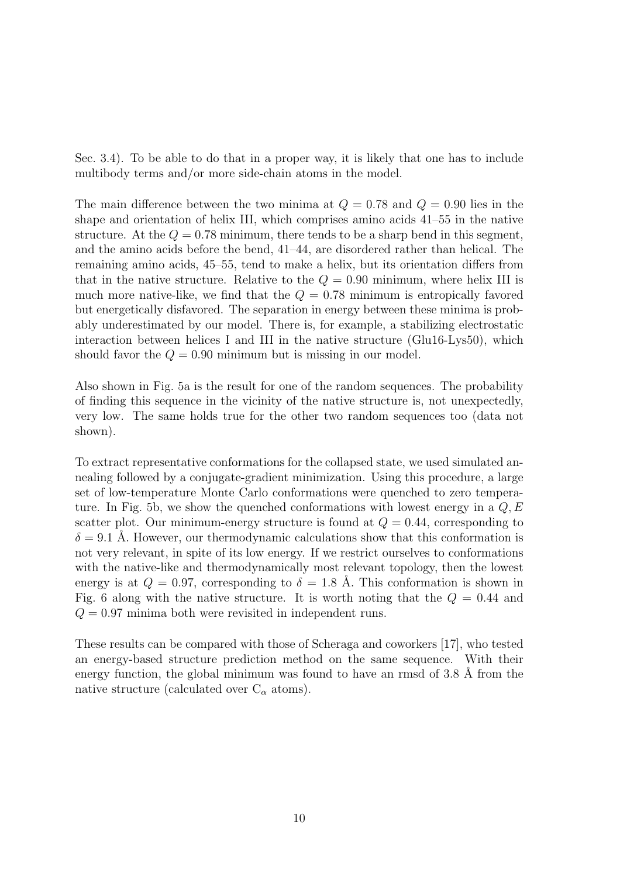Sec. 3.4). To be able to do that in a proper way, it is likely that one has to include multibody terms and/or more side-chain atoms in the model.

The main difference between the two minima at  $Q = 0.78$  and  $Q = 0.90$  lies in the shape and orientation of helix III, which comprises amino acids 41–55 in the native structure. At the  $Q = 0.78$  minimum, there tends to be a sharp bend in this segment, and the amino acids before the bend, 41–44, are disordered rather than helical. The remaining amino acids, 45–55, tend to make a helix, but its orientation differs from that in the native structure. Relative to the  $Q = 0.90$  minimum, where helix III is much more native-like, we find that the  $Q = 0.78$  minimum is entropically favored but energetically disfavored. The separation in energy between these minima is probably underestimated by our model. There is, for example, a stabilizing electrostatic interaction between helices I and III in the native structure (Glu16-Lys50), which should favor the  $Q = 0.90$  minimum but is missing in our model.

Also shown in Fig. 5a is the result for one of the random sequences. The probability of finding this sequence in the vicinity of the native structure is, not unexpectedly, very low. The same holds true for the other two random sequences too (data not shown).

To extract representative conformations for the collapsed state, we used simulated annealing followed by a conjugate-gradient minimization. Using this procedure, a large set of low-temperature Monte Carlo conformations were quenched to zero temperature. In Fig. 5b, we show the quenched conformations with lowest energy in a  $Q, E$ scatter plot. Our minimum-energy structure is found at  $Q = 0.44$ , corresponding to  $\delta = 9.1$  Å. However, our thermodynamic calculations show that this conformation is not very relevant, in spite of its low energy. If we restrict ourselves to conformations with the native-like and thermodynamically most relevant topology, then the lowest energy is at  $Q = 0.97$ , corresponding to  $\delta = 1.8$  Å. This conformation is shown in Fig. 6 along with the native structure. It is worth noting that the  $Q = 0.44$  and  $Q = 0.97$  minima both were revisited in independent runs.

These results can be compared with those of Scheraga and coworkers [17], who tested an energy-based structure prediction method on the same sequence. With their energy function, the global minimum was found to have an rmsd of  $3.8 \text{ Å}$  from the native structure (calculated over  $C_{\alpha}$  atoms).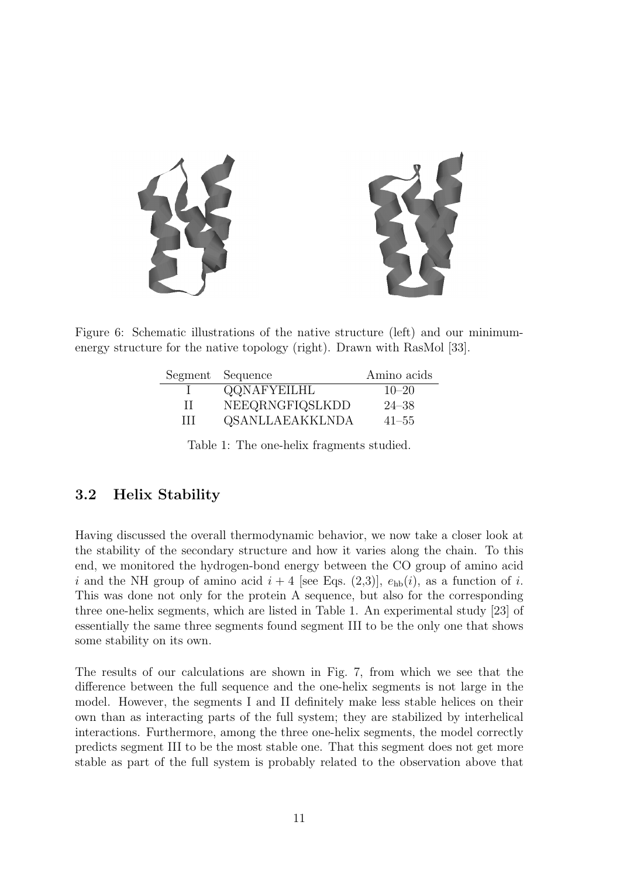

Figure 6: Schematic illustrations of the native structure (left) and our minimumenergy structure for the native topology (right). Drawn with RasMol [33].

|              | Segment Sequence | Amino acids |
|--------------|------------------|-------------|
|              | QQNAFYEILHL      | $10 - 20$   |
| $\mathbf{H}$ | NEEQRNGFIQSLKDD  | $24 - 38$   |
| Ш            | QSANLLAEAKKLNDA  | $41 - 55$   |

Table 1: The one-helix fragments studied.

## 3.2 Helix Stability

Having discussed the overall thermodynamic behavior, we now take a closer look at the stability of the secondary structure and how it varies along the chain. To this end, we monitored the hydrogen-bond energy between the CO group of amino acid i and the NH group of amino acid  $i + 4$  [see Eqs. (2,3)],  $e_{hb}(i)$ , as a function of i. This was done not only for the protein A sequence, but also for the corresponding three one-helix segments, which are listed in Table 1. An experimental study [23] of essentially the same three segments found segment III to be the only one that shows some stability on its own.

The results of our calculations are shown in Fig. 7, from which we see that the difference between the full sequence and the one-helix segments is not large in the model. However, the segments I and II definitely make less stable helices on their own than as interacting parts of the full system; they are stabilized by interhelical interactions. Furthermore, among the three one-helix segments, the model correctly predicts segment III to be the most stable one. That this segment does not get more stable as part of the full system is probably related to the observation above that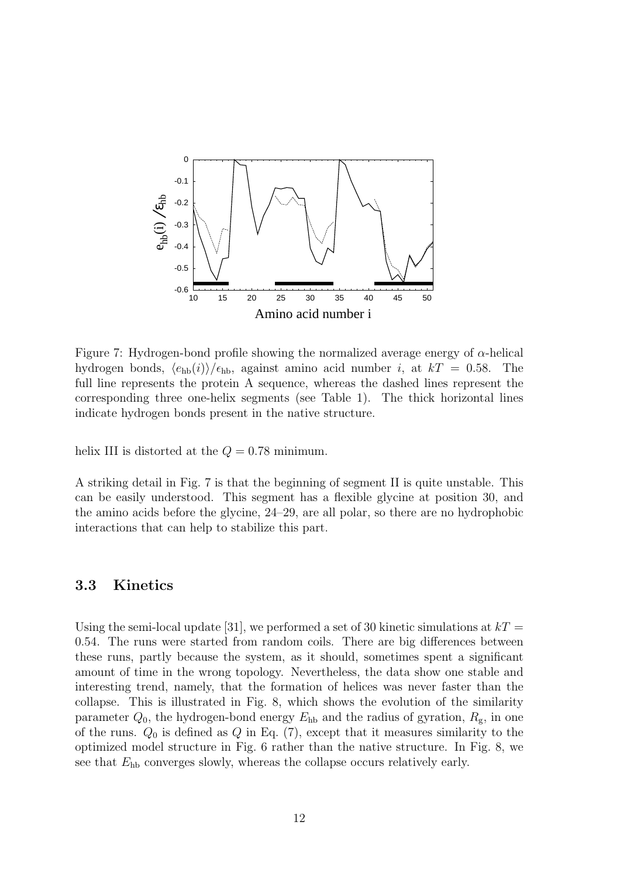

Figure 7: Hydrogen-bond profile showing the normalized average energy of  $\alpha$ -helical hydrogen bonds,  $\langle e_{hb}(i) \rangle / \epsilon_{hb}$ , against amino acid number i, at  $kT = 0.58$ . The full line represents the protein A sequence, whereas the dashed lines represent the corresponding three one-helix segments (see Table 1). The thick horizontal lines indicate hydrogen bonds present in the native structure.

helix III is distorted at the  $Q = 0.78$  minimum.

A striking detail in Fig. 7 is that the beginning of segment II is quite unstable. This can be easily understood. This segment has a flexible glycine at position 30, and the amino acids before the glycine, 24–29, are all polar, so there are no hydrophobic interactions that can help to stabilize this part.

#### 3.3 Kinetics

Using the semi-local update [31], we performed a set of 30 kinetic simulations at  $kT =$ 0.54. The runs were started from random coils. There are big differences between these runs, partly because the system, as it should, sometimes spent a significant amount of time in the wrong topology. Nevertheless, the data show one stable and interesting trend, namely, that the formation of helices was never faster than the collapse. This is illustrated in Fig. 8, which shows the evolution of the similarity parameter  $Q_0$ , the hydrogen-bond energy  $E_{hb}$  and the radius of gyration,  $R_g$ , in one of the runs.  $Q_0$  is defined as  $Q$  in Eq. (7), except that it measures similarity to the optimized model structure in Fig. 6 rather than the native structure. In Fig. 8, we see that  $E_{\rm hb}$  converges slowly, whereas the collapse occurs relatively early.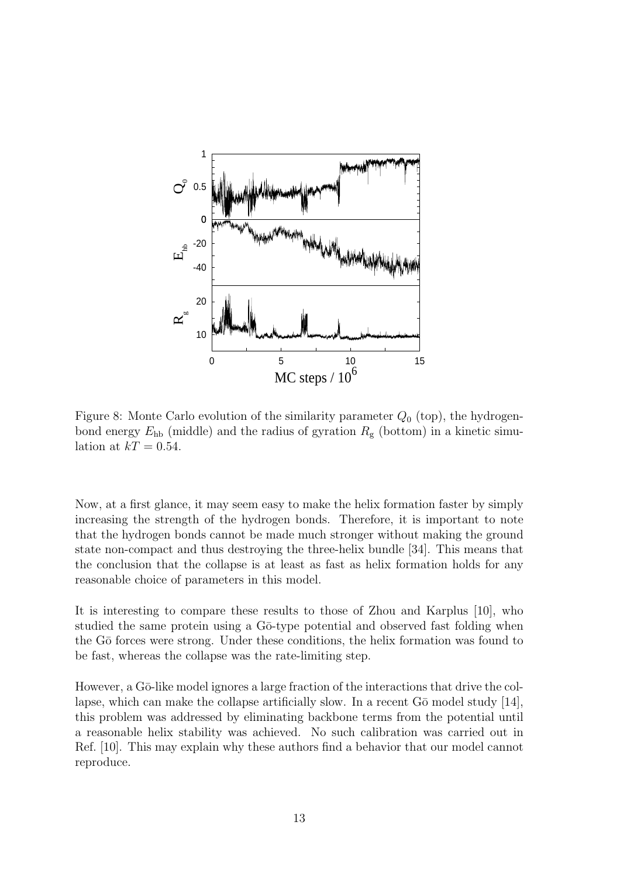

Figure 8: Monte Carlo evolution of the similarity parameter  $Q_0$  (top), the hydrogenbond energy  $E_{\rm hb}$  (middle) and the radius of gyration  $R_{\rm g}$  (bottom) in a kinetic simulation at  $kT = 0.54$ .

Now, at a first glance, it may seem easy to make the helix formation faster by simply increasing the strength of the hydrogen bonds. Therefore, it is important to note that the hydrogen bonds cannot be made much stronger without making the ground state non-compact and thus destroying the three-helix bundle [34]. This means that the conclusion that the collapse is at least as fast as helix formation holds for any reasonable choice of parameters in this model.

It is interesting to compare these results to those of Zhou and Karplus [10], who studied the same protein using a Gō-type potential and observed fast folding when the G $\bar{o}$  forces were strong. Under these conditions, the helix formation was found to be fast, whereas the collapse was the rate-limiting step.

However, a Gō-like model ignores a large fraction of the interactions that drive the collapse, which can make the collapse artificially slow. In a recent  $G\bar{o}$  model study [14], this problem was addressed by eliminating backbone terms from the potential until a reasonable helix stability was achieved. No such calibration was carried out in Ref. [10]. This may explain why these authors find a behavior that our model cannot reproduce.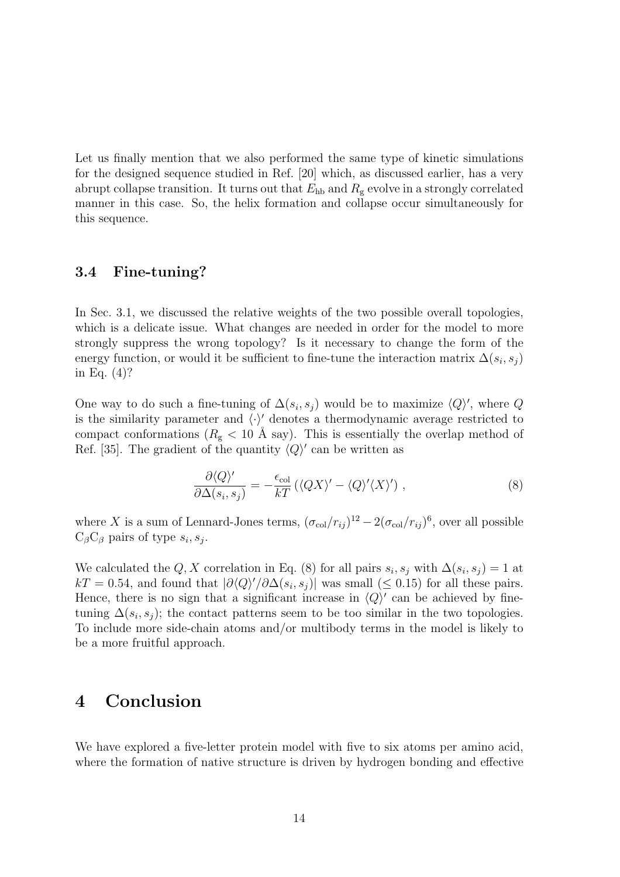Let us finally mention that we also performed the same type of kinetic simulations for the designed sequence studied in Ref. [20] which, as discussed earlier, has a very abrupt collapse transition. It turns out that  $E_{\text{hb}}$  and  $R_{\text{g}}$  evolve in a strongly correlated manner in this case. So, the helix formation and collapse occur simultaneously for this sequence.

## 3.4 Fine-tuning?

In Sec. 3.1, we discussed the relative weights of the two possible overall topologies, which is a delicate issue. What changes are needed in order for the model to more strongly suppress the wrong topology? Is it necessary to change the form of the energy function, or would it be sufficient to fine-tune the interaction matrix  $\Delta(s_i, s_j)$ in Eq. (4)?

One way to do such a fine-tuning of  $\Delta(s_i, s_j)$  would be to maximize  $\langle Q \rangle'$ , where Q is the similarity parameter and  $\langle \cdot \rangle'$  denotes a thermodynamic average restricted to compact conformations ( $R_{\rm g}$  < 10 Å say). This is essentially the overlap method of Ref. [35]. The gradient of the quantity  $\langle Q \rangle'$  can be written as

$$
\frac{\partial \langle Q \rangle'}{\partial \Delta(s_i, s_j)} = -\frac{\epsilon_{\text{col}}}{kT} \left( \langle QX \rangle' - \langle Q \rangle' \langle X \rangle' \right) ,\tag{8}
$$

where X is a sum of Lennard-Jones terms,  $(\sigma_{col}/r_{ij})^{12} - 2(\sigma_{col}/r_{ij})^6$ , over all possible  $C_{\beta}C_{\beta}$  pairs of type  $s_i, s_j$ .

We calculated the Q, X correlation in Eq. (8) for all pairs  $s_i, s_j$  with  $\Delta(s_i, s_j) = 1$  at  $kT = 0.54$ , and found that  $|\partial \langle Q \rangle| / \partial \Delta(s_i, s_j)|$  was small (≤ 0.15) for all these pairs. Hence, there is no sign that a significant increase in  $\langle Q \rangle'$  can be achieved by finetuning  $\Delta(s_i, s_j)$ ; the contact patterns seem to be too similar in the two topologies. To include more side-chain atoms and/or multibody terms in the model is likely to be a more fruitful approach.

# 4 Conclusion

We have explored a five-letter protein model with five to six atoms per amino acid, where the formation of native structure is driven by hydrogen bonding and effective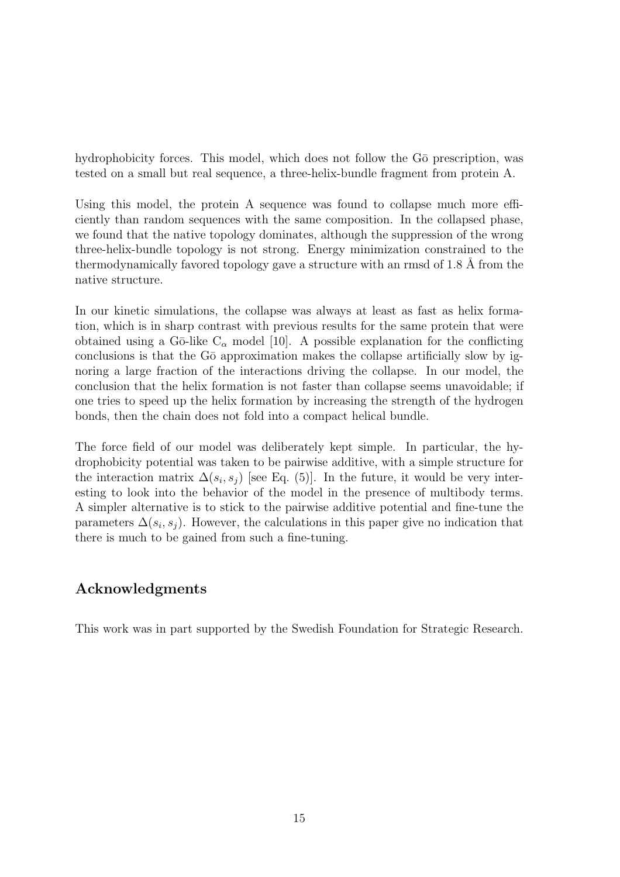hydrophobicity forces. This model, which does not follow the G $\bar{o}$  prescription, was tested on a small but real sequence, a three-helix-bundle fragment from protein A.

Using this model, the protein A sequence was found to collapse much more efficiently than random sequences with the same composition. In the collapsed phase, we found that the native topology dominates, although the suppression of the wrong three-helix-bundle topology is not strong. Energy minimization constrained to the thermodynamically favored topology gave a structure with an rmsd of 1.8 Å from the native structure.

In our kinetic simulations, the collapse was always at least as fast as helix formation, which is in sharp contrast with previous results for the same protein that were obtained using a Gō-like  $C_{\alpha}$  model [10]. A possible explanation for the conflicting conclusions is that the G $\bar{o}$  approximation makes the collapse artificially slow by ignoring a large fraction of the interactions driving the collapse. In our model, the conclusion that the helix formation is not faster than collapse seems unavoidable; if one tries to speed up the helix formation by increasing the strength of the hydrogen bonds, then the chain does not fold into a compact helical bundle.

The force field of our model was deliberately kept simple. In particular, the hydrophobicity potential was taken to be pairwise additive, with a simple structure for the interaction matrix  $\Delta(s_i, s_j)$  [see Eq. (5)]. In the future, it would be very interesting to look into the behavior of the model in the presence of multibody terms. A simpler alternative is to stick to the pairwise additive potential and fine-tune the parameters  $\Delta(s_i, s_j)$ . However, the calculations in this paper give no indication that there is much to be gained from such a fine-tuning.

## Acknowledgments

This work was in part supported by the Swedish Foundation for Strategic Research.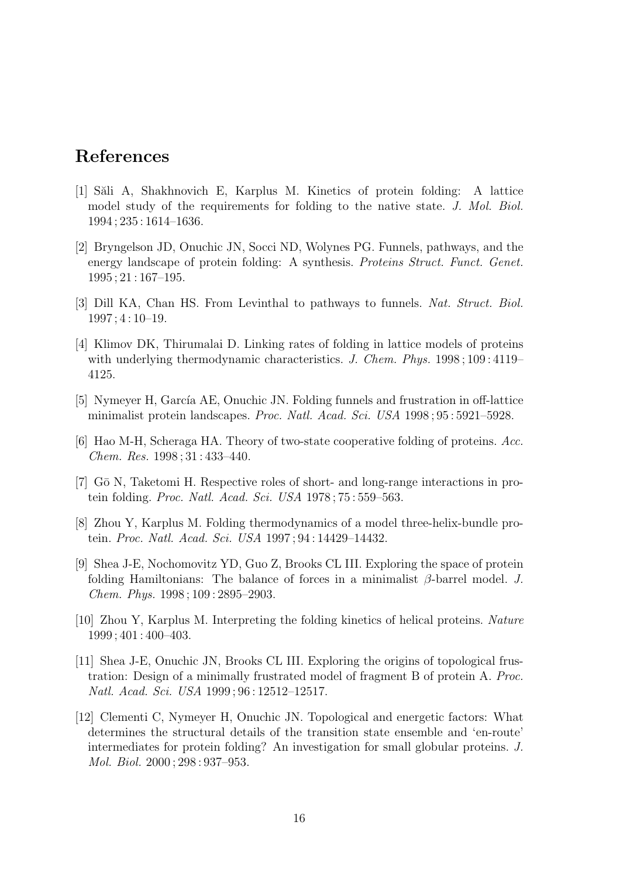# References

- [1] S˘ali A, Shakhnovich E, Karplus M. Kinetics of protein folding: A lattice model study of the requirements for folding to the native state. J. Mol. Biol. 1994 ; 235 : 1614–1636.
- [2] Bryngelson JD, Onuchic JN, Socci ND, Wolynes PG. Funnels, pathways, and the energy landscape of protein folding: A synthesis. Proteins Struct. Funct. Genet. 1995 ; 21 : 167–195.
- [3] Dill KA, Chan HS. From Levinthal to pathways to funnels. Nat. Struct. Biol. 1997 ; 4 : 10–19.
- [4] Klimov DK, Thirumalai D. Linking rates of folding in lattice models of proteins with underlying thermodynamic characteristics. J. Chem. Phys. 1998; 109:4119– 4125.
- [5] Nymeyer H, García AE, Onuchic JN. Folding funnels and frustration in off-lattice minimalist protein landscapes. Proc. Natl. Acad. Sci. USA 1998 ; 95 : 5921–5928.
- [6] Hao M-H, Scheraga HA. Theory of two-state cooperative folding of proteins. Acc. Chem. Res. 1998 ; 31 : 433–440.
- [7] Gō N, Taketomi H. Respective roles of short- and long-range interactions in protein folding. Proc. Natl. Acad. Sci. USA 1978 ; 75 : 559–563.
- [8] Zhou Y, Karplus M. Folding thermodynamics of a model three-helix-bundle protein. Proc. Natl. Acad. Sci. USA 1997 ; 94 : 14429–14432.
- [9] Shea J-E, Nochomovitz YD, Guo Z, Brooks CL III. Exploring the space of protein folding Hamiltonians: The balance of forces in a minimalist  $\beta$ -barrel model. J. Chem. Phys. 1998 ; 109 : 2895–2903.
- [10] Zhou Y, Karplus M. Interpreting the folding kinetics of helical proteins. Nature 1999 ; 401 : 400–403.
- [11] Shea J-E, Onuchic JN, Brooks CL III. Exploring the origins of topological frustration: Design of a minimally frustrated model of fragment B of protein A. Proc. Natl. Acad. Sci. USA 1999 ; 96 : 12512–12517.
- [12] Clementi C, Nymeyer H, Onuchic JN. Topological and energetic factors: What determines the structural details of the transition state ensemble and 'en-route' intermediates for protein folding? An investigation for small globular proteins. J. Mol. Biol. 2000 ; 298 : 937–953.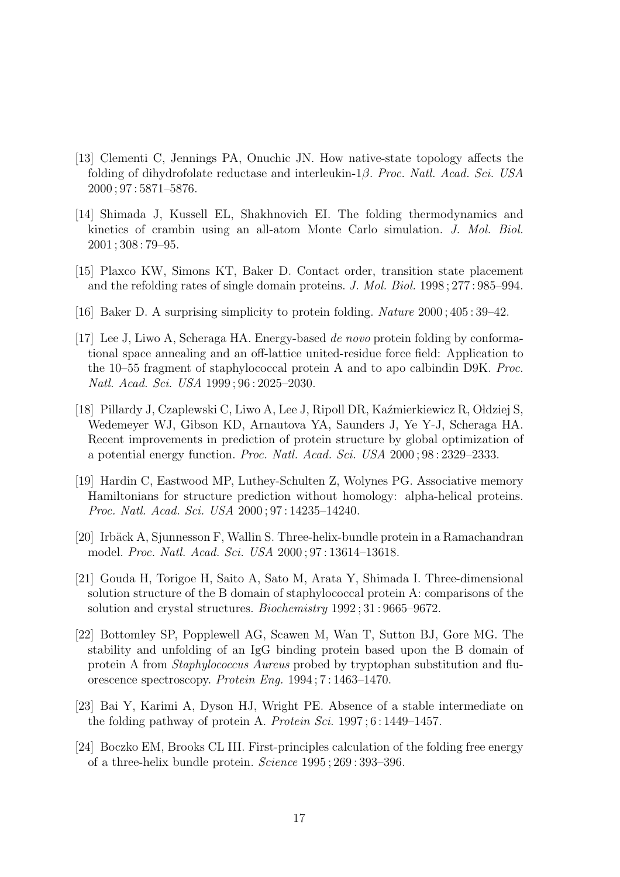- [13] Clementi C, Jennings PA, Onuchic JN. How native-state topology affects the folding of dihydrofolate reductase and interleukin-1β. Proc. Natl. Acad. Sci. USA 2000 ; 97 : 5871–5876.
- [14] Shimada J, Kussell EL, Shakhnovich EI. The folding thermodynamics and kinetics of crambin using an all-atom Monte Carlo simulation. J. Mol. Biol. 2001 ; 308 : 79–95.
- [15] Plaxco KW, Simons KT, Baker D. Contact order, transition state placement and the refolding rates of single domain proteins. J. Mol. Biol. 1998 ; 277 : 985–994.
- [16] Baker D. A surprising simplicity to protein folding. Nature 2000 ; 405 : 39–42.
- [17] Lee J, Liwo A, Scheraga HA. Energy-based de novo protein folding by conformational space annealing and an off-lattice united-residue force field: Application to the 10–55 fragment of staphylococcal protein A and to apo calbindin D9K. Proc. Natl. Acad. Sci. USA 1999 ; 96 : 2025–2030.
- [18] Pillardy J, Czaplewski C, Liwo A, Lee J, Ripoll DR, Kaźmierkiewicz R, Ołdziej S, Wedemeyer WJ, Gibson KD, Arnautova YA, Saunders J, Ye Y-J, Scheraga HA. Recent improvements in prediction of protein structure by global optimization of a potential energy function. Proc. Natl. Acad. Sci. USA 2000 ; 98 : 2329–2333.
- [19] Hardin C, Eastwood MP, Luthey-Schulten Z, Wolynes PG. Associative memory Hamiltonians for structure prediction without homology: alpha-helical proteins. Proc. Natl. Acad. Sci. USA 2000 ; 97 : 14235–14240.
- [20] Irbäck A, Sjunnesson F, Wallin S. Three-helix-bundle protein in a Ramachandran model. Proc. Natl. Acad. Sci. USA 2000 ; 97 : 13614–13618.
- [21] Gouda H, Torigoe H, Saito A, Sato M, Arata Y, Shimada I. Three-dimensional solution structure of the B domain of staphylococcal protein A: comparisons of the solution and crystal structures. Biochemistry 1992 ; 31 : 9665–9672.
- [22] Bottomley SP, Popplewell AG, Scawen M, Wan T, Sutton BJ, Gore MG. The stability and unfolding of an IgG binding protein based upon the B domain of protein A from Staphylococcus Aureus probed by tryptophan substitution and fluorescence spectroscopy. Protein Eng. 1994 ; 7 : 1463–1470.
- [23] Bai Y, Karimi A, Dyson HJ, Wright PE. Absence of a stable intermediate on the folding pathway of protein A. Protein Sci. 1997 ; 6 : 1449–1457.
- [24] Boczko EM, Brooks CL III. First-principles calculation of the folding free energy of a three-helix bundle protein. Science 1995 ; 269 : 393–396.